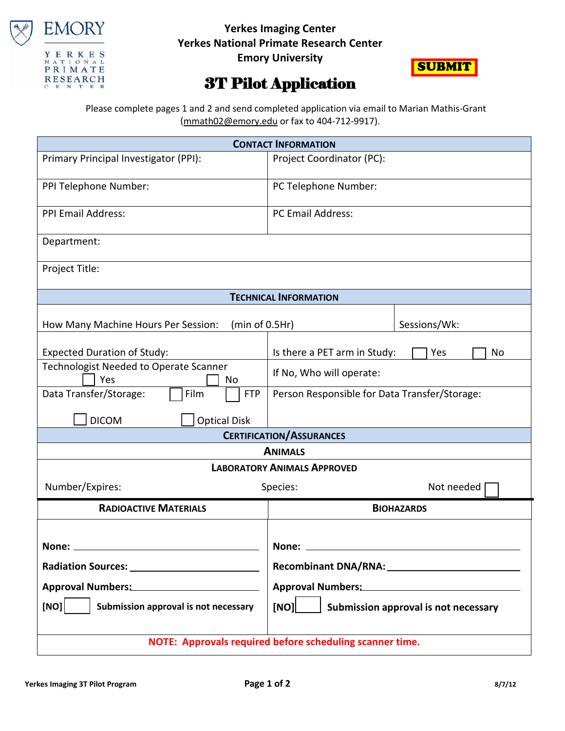

## **Yerkes Imaging Center Yerkes National Primate Research Center**

**Emory University**



## 3T Pilot Application

 Please complete pages 1 and 2 and send completed application via email to Marian Mathis-Grant [\(mmath02@emory.edu](mailto:mmath02@emory.edu) or fax to 404-712-9917).

| <b>CONTACT INFORMATION</b>                               |                                               |  |  |  |  |  |
|----------------------------------------------------------|-----------------------------------------------|--|--|--|--|--|
| Primary Principal Investigator (PPI):                    | Project Coordinator (PC):                     |  |  |  |  |  |
| PPI Telephone Number:                                    | PC Telephone Number:                          |  |  |  |  |  |
| <b>PPI Email Address:</b>                                | <b>PC Email Address:</b>                      |  |  |  |  |  |
| Department:                                              |                                               |  |  |  |  |  |
| Project Title:                                           |                                               |  |  |  |  |  |
|                                                          | <b>TECHNICAL INFORMATION</b>                  |  |  |  |  |  |
| How Many Machine Hours Per Session:<br>(min of 0.5Hr)    | Sessions/Wk:                                  |  |  |  |  |  |
| <b>Expected Duration of Study:</b>                       | Is there a PET arm in Study:<br>Yes<br>No     |  |  |  |  |  |
| Technologist Needed to Operate Scanner<br>Yes<br>No      | If No, Who will operate:                      |  |  |  |  |  |
| Film<br>Data Transfer/Storage:<br><b>FTP</b>             | Person Responsible for Data Transfer/Storage: |  |  |  |  |  |
| <b>DICOM</b><br><b>Optical Disk</b>                      |                                               |  |  |  |  |  |
| <b>CERTIFICATION/ASSURANCES</b>                          |                                               |  |  |  |  |  |
| <b>ANIMALS</b>                                           |                                               |  |  |  |  |  |
| <b>LABORATORY ANIMALS APPROVED</b>                       |                                               |  |  |  |  |  |
| Number/Expires:                                          | Species:<br>Not needed                        |  |  |  |  |  |
| <b>RADIOACTIVE MATERIALS</b>                             | <b>BIOHAZARDS</b>                             |  |  |  |  |  |
| None:                                                    | None:                                         |  |  |  |  |  |
|                                                          |                                               |  |  |  |  |  |
|                                                          |                                               |  |  |  |  |  |
| Approval Numbers: Management of Approval Numbers:        | Approval Numbers: Manual Approval Numbers:    |  |  |  |  |  |
| [NO]<br>Submission approval is not necessary             | [NO]<br>Submission approval is not necessary  |  |  |  |  |  |
| NOTE: Approvals required before scheduling scanner time. |                                               |  |  |  |  |  |